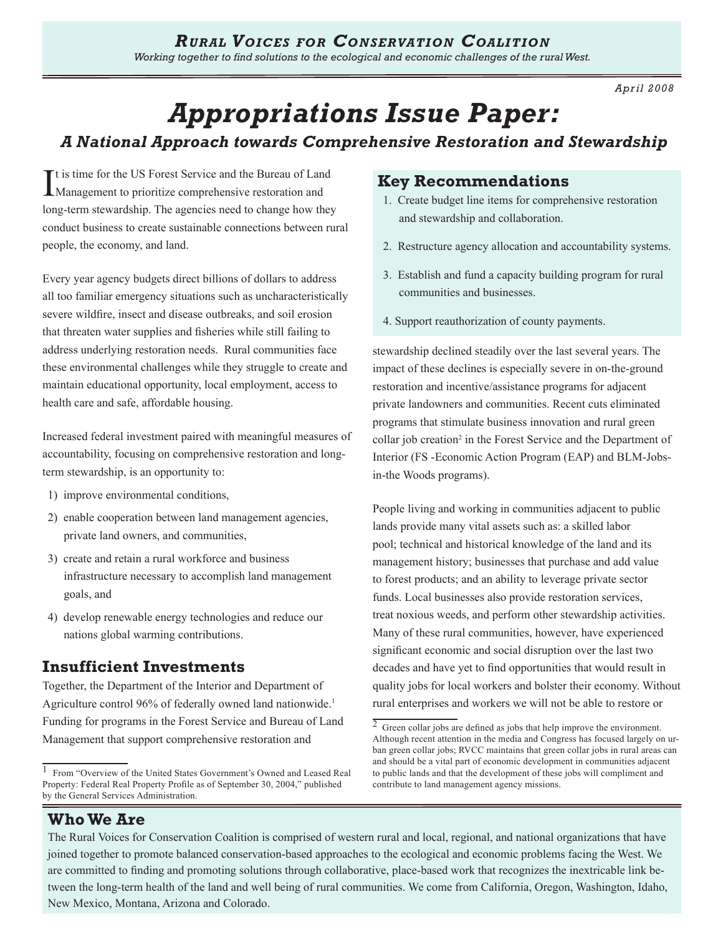*Apr il 2008*

# *Appropriations Issue Paper:*

# *A National Approach towards Comprehensive Restoration and Stewardship*

It is time for the US Forest Service and the Bureau of Land Management to prioritize comprehensive restoration and t is time for the US Forest Service and the Bureau of Land long-term stewardship. The agencies need to change how they conduct business to create sustainable connections between rural people, the economy, and land.

Every year agency budgets direct billions of dollars to address all too familiar emergency situations such as uncharacteristically severe wildfire, insect and disease outbreaks, and soil erosion that threaten water supplies and fisheries while still failing to address underlying restoration needs. Rural communities face these environmental challenges while they struggle to create and maintain educational opportunity, local employment, access to health care and safe, affordable housing.

Increased federal investment paired with meaningful measures of accountability, focusing on comprehensive restoration and longterm stewardship, is an opportunity to:

- 1) improve environmental conditions,
- 2) enable cooperation between land management agencies, private land owners, and communities,
- 3) create and retain a rural workforce and business infrastructure necessary to accomplish land management goals, and
- 4) develop renewable energy technologies and reduce our nations global warming contributions.

# **Insufficient Investments**

Together, the Department of the Interior and Department of Agriculture control 96% of federally owned land nationwide.<sup>1</sup> Funding for programs in the Forest Service and Bureau of Land Management that support comprehensive restoration and

## **Key Recommendations**

- 1. Create budget line items for comprehensive restoration and stewardship and collaboration.
- 2. Restructure agency allocation and accountability systems.
- 3. Establish and fund a capacity building program for rural communities and businesses.
- 4. Support reauthorization of county payments.

stewardship declined steadily over the last several years. The impact of these declines is especially severe in on-the-ground restoration and incentive/assistance programs for adjacent private landowners and communities. Recent cuts eliminated programs that stimulate business innovation and rural green collar job creation<sup>2</sup> in the Forest Service and the Department of Interior (FS -Economic Action Program (EAP) and BLM-Jobsin-the Woods programs).

People living and working in communities adjacent to public lands provide many vital assets such as: a skilled labor pool; technical and historical knowledge of the land and its management history; businesses that purchase and add value to forest products; and an ability to leverage private sector funds. Local businesses also provide restoration services, treat noxious weeds, and perform other stewardship activities. Many of these rural communities, however, have experienced significant economic and social disruption over the last two decades and have yet to find opportunities that would result in quality jobs for local workers and bolster their economy. Without rural enterprises and workers we will not be able to restore or

# **Who We Are**

The Rural Voices for Conservation Coalition is comprised of western rural and local, regional, and national organizations that have joined together to promote balanced conservation-based approaches to the ecological and economic problems facing the West. We are committed to finding and promoting solutions through collaborative, place-based work that recognizes the inextricable link between the long-term health of the land and well being of rural communities. We come from California, Oregon, Washington, Idaho, New Mexico, Montana, Arizona and Colorado.

<sup>1</sup>From "Overview of the United States Government's Owned and Leased Real Property: Federal Real Property Profile as of September 30, 2004," published by the General Services Administration.

 $\overline{2}$  Green collar jobs are defined as jobs that help improve the environment. Although recent attention in the media and Congress has focused largely on urban green collar jobs; RVCC maintains that green collar jobs in rural areas can and should be a vital part of economic development in communities adjacent to public lands and that the development of these jobs will compliment and contribute to land management agency missions.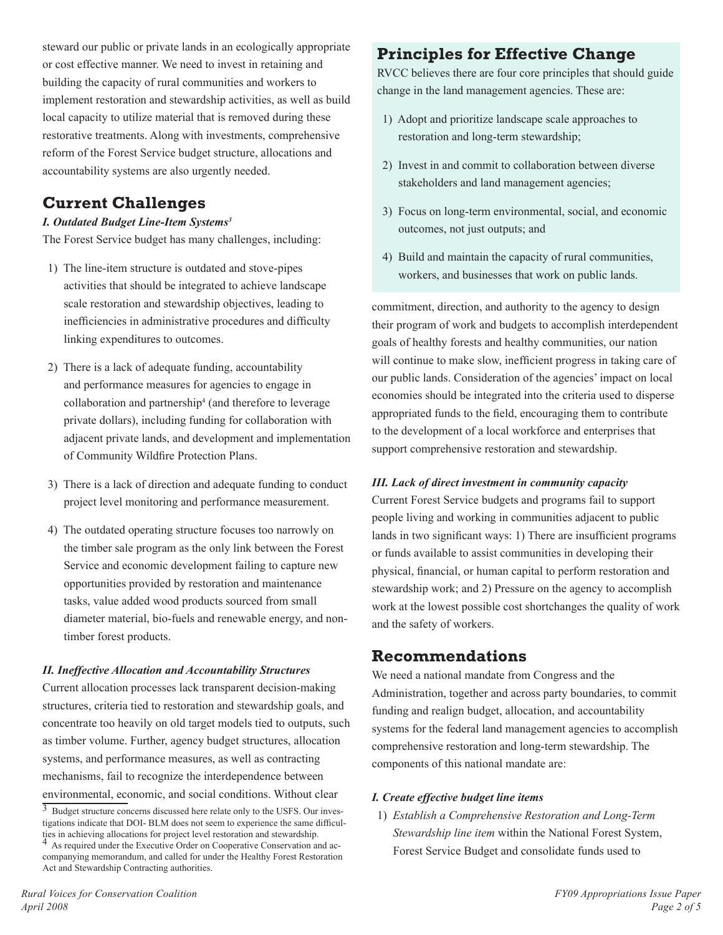steward our public or private lands in an ecologically appropriate or cost effective manner. We need to invest in retaining and building the capacity of rural communities and workers to implement restoration and stewardship activities, as well as build local capacity to utilize material that is removed during these restorative treatments. Along with investments, comprehensive reform of the Forest Service budget structure, allocations and accountability systems are also urgently needed.

# **Current Challenges**

### *I. Outdated Budget Line-Item Systems*

The Forest Service budget has many challenges, including:

- 1) The line-item structure is outdated and stove-pipes activities that should be integrated to achieve landscape scale restoration and stewardship objectives, leading to inefficiencies in administrative procedures and difficulty linking expenditures to outcomes.
- 2) There is a lack of adequate funding, accountability and performance measures for agencies to engage in collaboration and partnership4 (and therefore to leverage private dollars), including funding for collaboration with adjacent private lands, and development and implementation of Community Wildfire Protection Plans.
- 3) There is a lack of direction and adequate funding to conduct project level monitoring and performance measurement.
- 4) The outdated operating structure focuses too narrowly on the timber sale program as the only link between the Forest Service and economic development failing to capture new opportunities provided by restoration and maintenance tasks, value added wood products sourced from small diameter material, bio-fuels and renewable energy, and nontimber forest products.

### *II. Ineffective Allocation and Accountability Structures*

Current allocation processes lack transparent decision-making structures, criteria tied to restoration and stewardship goals, and concentrate too heavily on old target models tied to outputs, such as timber volume. Further, agency budget structures, allocation systems, and performance measures, as well as contracting mechanisms, fail to recognize the interdependence between environmental, economic, and social conditions. Without clear

# **Principles for Effective Change**

RVCC believes there are four core principles that should guide change in the land management agencies. These are:

- 1) Adopt and prioritize landscape scale approaches to restoration and long-term stewardship;
- 2) Invest in and commit to collaboration between diverse stakeholders and land management agencies;
- 3) Focus on long-term environmental, social, and economic outcomes, not just outputs; and
- 4) Build and maintain the capacity of rural communities, workers, and businesses that work on public lands.

commitment, direction, and authority to the agency to design their program of work and budgets to accomplish interdependent goals of healthy forests and healthy communities, our nation will continue to make slow, inefficient progress in taking care of our public lands. Consideration of the agencies' impact on local economies should be integrated into the criteria used to disperse appropriated funds to the field, encouraging them to contribute to the development of a local workforce and enterprises that support comprehensive restoration and stewardship.

### *III. Lack of direct investment in community capacity*

Current Forest Service budgets and programs fail to support people living and working in communities adjacent to public lands in two significant ways: 1) There are insufficient programs or funds available to assist communities in developing their physical, financial, or human capital to perform restoration and stewardship work; and 2) Pressure on the agency to accomplish work at the lowest possible cost shortchanges the quality of work and the safety of workers.

### **Recommendations**

We need a national mandate from Congress and the Administration, together and across party boundaries, to commit funding and realign budget, allocation, and accountability systems for the federal land management agencies to accomplish comprehensive restoration and long-term stewardship. The components of this national mandate are:

### *I. Create effective budget line items*

1) *Establish a Comprehensive Restoration and Long-Term Stewardship line item* within the National Forest System, Forest Service Budget and consolidate funds used to

<sup>&</sup>lt;sup>3</sup> Budget structure concerns discussed here relate only to the USFS. Our investigations indicate that DOI- BLM does not seem to experience the same difficulties in achieving allocations for project level restoration and stewardship.

As required under the Executive Order on Cooperative Conservation and accompanying memorandum, and called for under the Healthy Forest Restoration Act and Stewardship Contracting authorities.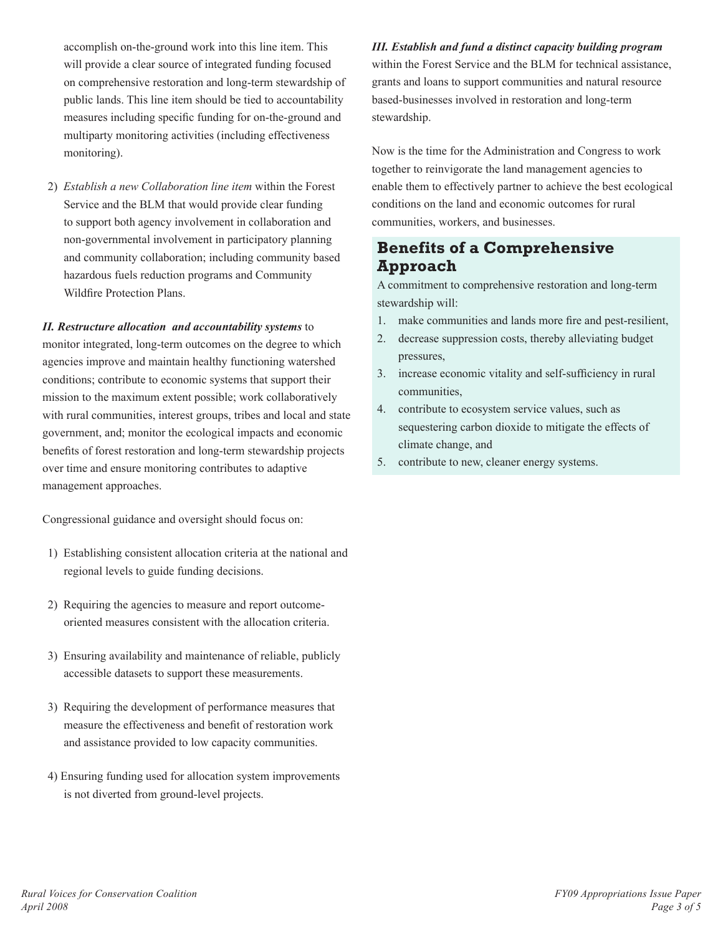accomplish on-the-ground work into this line item. This will provide a clear source of integrated funding focused on comprehensive restoration and long-term stewardship of public lands. This line item should be tied to accountability measures including specific funding for on-the-ground and multiparty monitoring activities (including effectiveness monitoring).

2) *Establish a new Collaboration line item* within the Forest Service and the BLM that would provide clear funding to support both agency involvement in collaboration and non-governmental involvement in participatory planning and community collaboration; including community based hazardous fuels reduction programs and Community Wildfire Protection Plans.

### *II. Restructure allocation and accountability systems* to

monitor integrated, long-term outcomes on the degree to which agencies improve and maintain healthy functioning watershed conditions; contribute to economic systems that support their mission to the maximum extent possible; work collaboratively with rural communities, interest groups, tribes and local and state government, and; monitor the ecological impacts and economic benefits of forest restoration and long-term stewardship projects over time and ensure monitoring contributes to adaptive management approaches.

Congressional guidance and oversight should focus on:

- 1) Establishing consistent allocation criteria at the national and regional levels to guide funding decisions.
- 2) Requiring the agencies to measure and report outcomeoriented measures consistent with the allocation criteria.
- 3) Ensuring availability and maintenance of reliable, publicly accessible datasets to support these measurements.
- 3) Requiring the development of performance measures that measure the effectiveness and benefit of restoration work and assistance provided to low capacity communities.
- 4) Ensuring funding used for allocation system improvements is not diverted from ground-level projects.

*III. Establish and fund a distinct capacity building program*  within the Forest Service and the BLM for technical assistance, grants and loans to support communities and natural resource based-businesses involved in restoration and long-term stewardship.

Now is the time for the Administration and Congress to work together to reinvigorate the land management agencies to enable them to effectively partner to achieve the best ecological conditions on the land and economic outcomes for rural communities, workers, and businesses.

# **Benefits of a Comprehensive Approach**

A commitment to comprehensive restoration and long-term stewardship will:

- make communities and lands more fire and pest-resilient, 1.
- decrease suppression costs, thereby alleviating budget pressures, 2.
- 3. increase economic vitality and self-sufficiency in rural communities,
- contribute to ecosystem service values, such as 4. sequestering carbon dioxide to mitigate the effects of climate change, and
- 5. contribute to new, cleaner energy systems.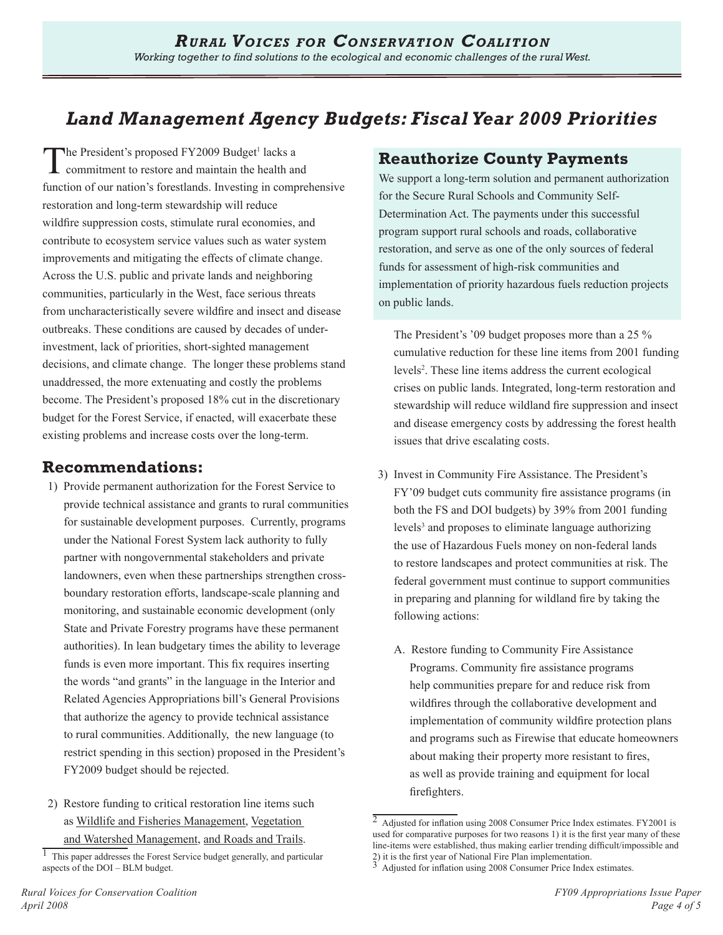# *Land Management Agency Budgets: Fiscal Year 2009 Priorities*

The President's proposed FY2009 Budget<sup>1</sup> lacks a<br>commitment to restore and maintain the health are commitment to restore and maintain the health and function of our nation's forestlands. Investing in comprehensive restoration and long-term stewardship will reduce wildfire suppression costs, stimulate rural economies, and contribute to ecosystem service values such as water system improvements and mitigating the effects of climate change. Across the U.S. public and private lands and neighboring communities, particularly in the West, face serious threats from uncharacteristically severe wildfire and insect and disease outbreaks. These conditions are caused by decades of underinvestment, lack of priorities, short-sighted management decisions, and climate change. The longer these problems stand unaddressed, the more extenuating and costly the problems become. The President's proposed 18% cut in the discretionary budget for the Forest Service, if enacted, will exacerbate these existing problems and increase costs over the long-term.

# **Recommendations:**

- 1) Provide permanent authorization for the Forest Service to provide technical assistance and grants to rural communities for sustainable development purposes. Currently, programs under the National Forest System lack authority to fully partner with nongovernmental stakeholders and private landowners, even when these partnerships strengthen crossboundary restoration efforts, landscape-scale planning and monitoring, and sustainable economic development (only State and Private Forestry programs have these permanent authorities). In lean budgetary times the ability to leverage funds is even more important. This fix requires inserting the words "and grants" in the language in the Interior and Related Agencies Appropriations bill's General Provisions that authorize the agency to provide technical assistance to rural communities. Additionally, the new language (to restrict spending in this section) proposed in the President's FY2009 budget should be rejected.
- 2) Restore funding to critical restoration line items such as Wildlife and Fisheries Management, Vegetation and Watershed Management, and Roads and Trails.

# **Reauthorize County Payments**

We support a long-term solution and permanent authorization for the Secure Rural Schools and Community Self-Determination Act. The payments under this successful program support rural schools and roads, collaborative restoration, and serve as one of the only sources of federal funds for assessment of high-risk communities and implementation of priority hazardous fuels reduction projects on public lands.

The President's '09 budget proposes more than a 25 % cumulative reduction for these line items from 2001 funding levels<sup>2</sup>. These line items address the current ecological crises on public lands. Integrated, long-term restoration and stewardship will reduce wildland fire suppression and insect and disease emergency costs by addressing the forest health issues that drive escalating costs.

- 3) Invest in Community Fire Assistance. The President's FY'09 budget cuts community fire assistance programs (in both the FS and DOI budgets) by 39% from 2001 funding levels<sup>3</sup> and proposes to eliminate language authorizing the use of Hazardous Fuels money on non-federal lands to restore landscapes and protect communities at risk. The federal government must continue to support communities in preparing and planning for wildland fire by taking the following actions:
	- A. Restore funding to Community Fire Assistance Programs. Community fire assistance programs help communities prepare for and reduce risk from wildfires through the collaborative development and implementation of community wildfire protection plans and programs such as Firewise that educate homeowners about making their property more resistant to fires, as well as provide training and equipment for local firefighters.

 $1$  This paper addresses the Forest Service budget generally, and particular aspects of the DOI – BLM budget.

<sup>2</sup> Adjusted for inflation using 2008 Consumer Price Index estimates. FY2001 is used for comparative purposes for two reasons 1) it is the first year many of these line-items were established, thus making earlier trending difficult/impossible and 2) it is the first year of National Fire Plan implementation.<br> $\frac{3}{4}$  Adinated for inflation

Adjusted for inflation using 2008 Consumer Price Index estimates.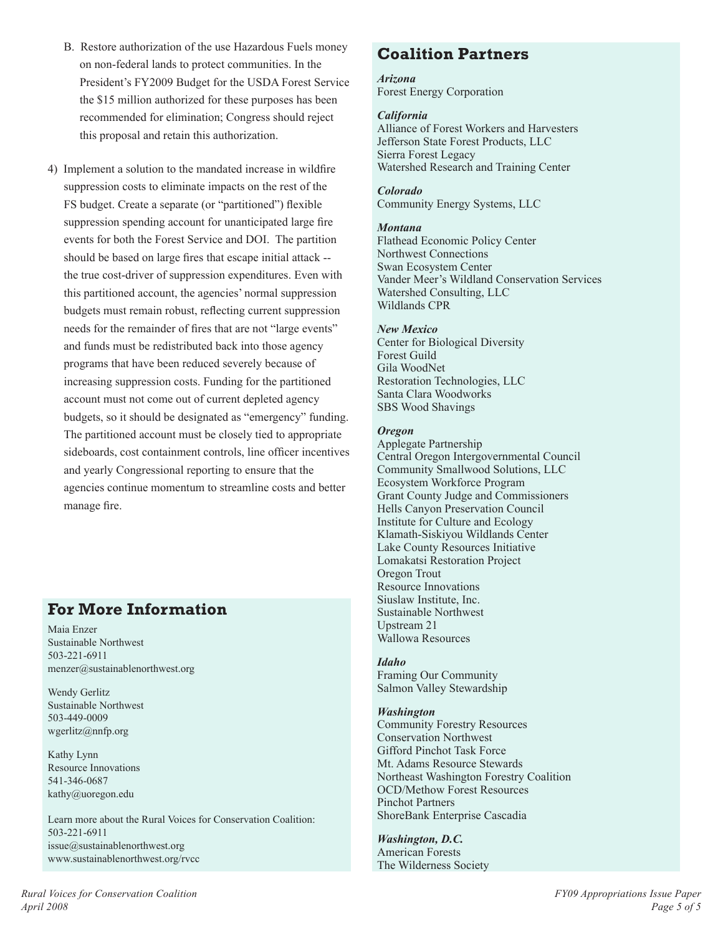- B. Restore authorization of the use Hazardous Fuels money on non-federal lands to protect communities. In the President's FY2009 Budget for the USDA Forest Service the \$15 million authorized for these purposes has been recommended for elimination; Congress should reject this proposal and retain this authorization.
- 4) Implement a solution to the mandated increase in wildfire suppression costs to eliminate impacts on the rest of the FS budget. Create a separate (or "partitioned") flexible suppression spending account for unanticipated large fire events for both the Forest Service and DOI. The partition should be based on large fires that escape initial attack - the true cost-driver of suppression expenditures. Even with this partitioned account, the agencies' normal suppression budgets must remain robust, reflecting current suppression needs for the remainder of fires that are not "large events" and funds must be redistributed back into those agency programs that have been reduced severely because of increasing suppression costs. Funding for the partitioned account must not come out of current depleted agency budgets, so it should be designated as "emergency" funding. The partitioned account must be closely tied to appropriate sideboards, cost containment controls, line officer incentives and yearly Congressional reporting to ensure that the agencies continue momentum to streamline costs and better manage fire.

# **For More Information**

Maia Enzer Sustainable Northwest 503-221-6911 menzer@sustainablenorthwest.org

Wendy Gerlitz Sustainable Northwest 503-449-0009 wgerlitz@nnfp.org

Kathy Lynn Resource Innovations 541-346-0687 kathy@uoregon.edu

Learn more about the Rural Voices for Conservation Coalition: 503-221-6911  $is\sec(\theta)$  sustainablenorthwest.org www.sustainablenorthwest.org/rvcc

# **Coalition Partners**

# *Arizona*

Forest Energy Corporation

### *California*

Alliance of Forest Workers and Harvesters Jefferson State Forest Products, LLC Sierra Forest Legacy Watershed Research and Training Center

### *Colorado*

Community Energy Systems, LLC

### *Montana*

Flathead Economic Policy Center Northwest Connections Swan Ecosystem Center Vander Meer's Wildland Conservation Services Watershed Consulting, LLC Wildlands CPR

### *New Mexico*

Center for Biological Diversity Forest Guild Gila WoodNet Restoration Technologies, LLC Santa Clara Woodworks SBS Wood Shavings

### *Oregon*

Applegate Partnership Central Oregon Intergovernmental Council Community Smallwood Solutions, LLC Ecosystem Workforce Program Grant County Judge and Commissioners Hells Canyon Preservation Council Institute for Culture and Ecology Klamath-Siskiyou Wildlands Center Lake County Resources Initiative Lomakatsi Restoration Project Oregon Trout Resource Innovations Siuslaw Institute, Inc. Sustainable Northwest Upstream 21 Wallowa Resources

### *Idaho* Framing Our Community Salmon Valley Stewardship

### *Washington*

Community Forestry Resources Conservation Northwest Gifford Pinchot Task Force Mt. Adams Resource Stewards Northeast Washington Forestry Coalition OCD/Methow Forest Resources Pinchot Partners ShoreBank Enterprise Cascadia

*Washington, D.C.* American Forests The Wilderness Society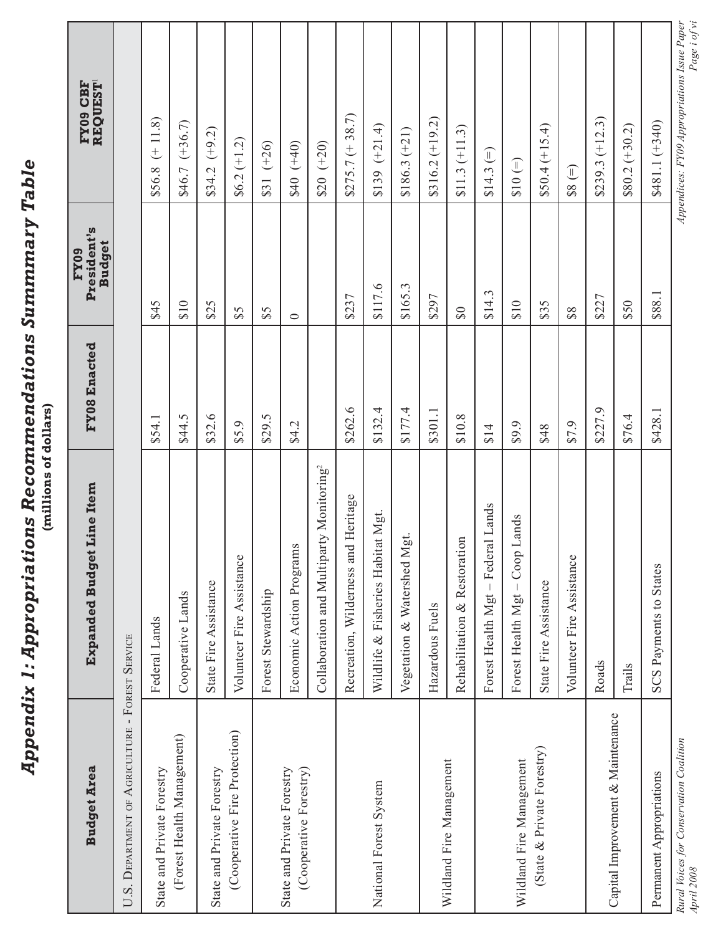|                                                       | (millions of dollars)<br><b>Appendix 1: Appropriati</b> | ons Recommendations Summmary Table |                                      |                                                             |
|-------------------------------------------------------|---------------------------------------------------------|------------------------------------|--------------------------------------|-------------------------------------------------------------|
| <b>Budget Area</b>                                    | Line Item<br><b>Expanded Budget</b>                     | FY08 Enacted                       | President's<br><b>Budget</b><br>FY09 | <b>REQUEST</b><br>FY09 CBF                                  |
| U.S. DEPARTMENT OF AGRICULTURE - FOREST SERVICE       |                                                         |                                    |                                      |                                                             |
| State and Private Forestry                            | Federal Lands                                           | \$54.1                             | \$45                                 | $(+11.8)$<br>\$56.8                                         |
| (Forest Health Management)                            | Cooperative Lands                                       | \$44.5                             | \$10                                 | $$46.7 (+36.7)$                                             |
| State and Private Forestry                            | State Fire Assistance                                   | \$32.6                             | \$25                                 | $$34.2 (+9.2)$                                              |
| (Cooperative Fire Protection)                         | Volunteer Fire Assistance                               | \$5.9                              | 53                                   | $$6.2(+1.2)$                                                |
|                                                       | Forest Stewardship                                      | \$29.5                             | \$5                                  | $(+26)$<br>\$31                                             |
| (Cooperative Forestry)<br>State and Private Forestry  | Economic Action Programs                                | \$4.2                              | $\circ$                              | $(0t+)$ 0 + 3                                               |
|                                                       | Collaboration and Multiparty Monitoring <sup>2</sup>    |                                    |                                      | $(+20)$<br>\$20                                             |
|                                                       | Recreation, Wilderness and Heritage                     | \$262.6                            | \$237                                | $$275.7 (+ 38.7)$                                           |
| National Forest System                                | Wildlife & Fisheries Habitat Mgt                        | \$132.4                            | \$117.6                              | $(+21.4)$<br>\$139                                          |
|                                                       | tio<br>Vegetation & Watershed M                         | \$177.4                            | \$165.3                              | $$186.3 (+21)$                                              |
|                                                       | Hazardous Fuels                                         | \$301.1                            | \$297                                | $$316.2 (+19.2)$                                            |
| Wildland Fire Management                              | Rehabilitation & Restoration                            | \$10.8                             | $\Im$                                | $$11.3 (+11.3)$                                             |
|                                                       | Forest Health Mgt - Federal Lands                       | \$14                               | <b>ن</b><br>$$14$ .                  | $\widehat{\mathbb{L}}$<br>\$14.3                            |
| Wildland Fire Management                              | Lands<br>Forest Health Mgt - Coop                       | \$9.9                              | \$10                                 | $$10 (=)$                                                   |
| (State & Private Forestry)                            | State Fire Assistance                                   | \$48                               | \$35                                 | $$50.4 (+15.4)$                                             |
|                                                       | Volunteer Fire Assistance                               | 6.19                               | $\$8$                                | $\widehat{=}$<br>\$8                                        |
|                                                       | Roads                                                   | \$227.9                            | \$227                                | $$239.3 (+12.3)$                                            |
| Capital Improvement & Maintenance                     | Trails                                                  | \$76.4                             | \$50                                 | $$80.2 (+30.2)$                                             |
| Permanent Appropriations                              | <b>SCS Payments to States</b>                           | \$428.1                            | \$88.1                               | $$481.1 (+340)$                                             |
| Rural Voices for Conservation Coalition<br>April 2008 |                                                         |                                    |                                      | Page i of vi<br>Appendices: FY09 Appropriations Issue Paper |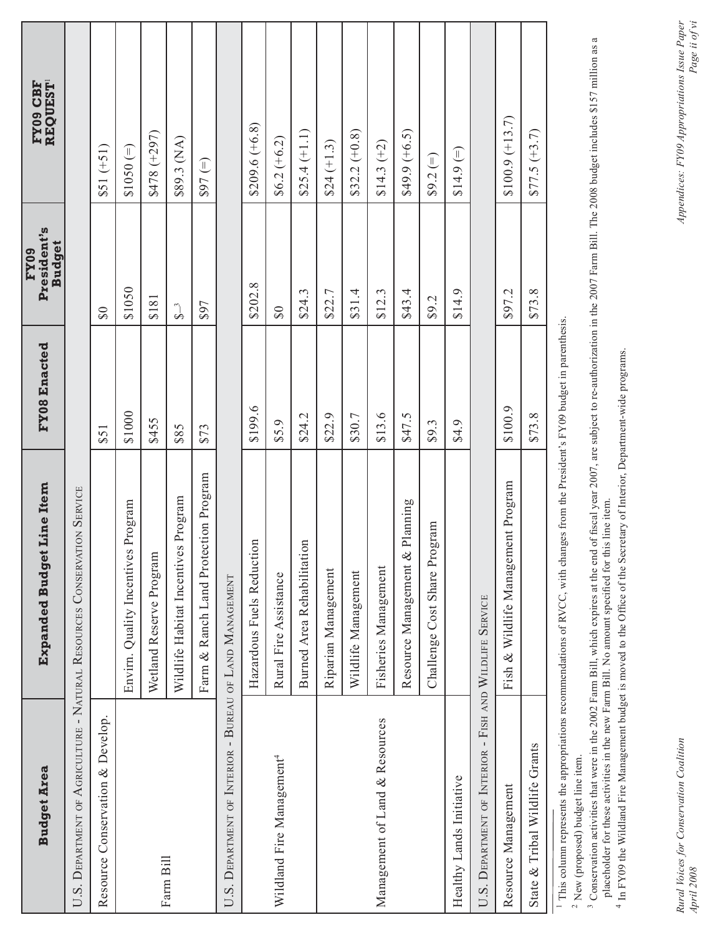| <b>Budget Area</b>                                           | Line Item<br><b>Expanded Budget</b>                                     | FY08 Enacted | President's<br><b>Budget</b><br>FY09 | <b>REQUEST</b><br>FY09 CBF |
|--------------------------------------------------------------|-------------------------------------------------------------------------|--------------|--------------------------------------|----------------------------|
|                                                              | U.S. DEPARTMENT OF AGRICULTURE - NATURAL RESOURCES CONSERVATION SERVICE |              |                                      |                            |
| Resource Conservation & Develop.                             |                                                                         | \$51         | $\Im$                                | $$51 (+51)$                |
|                                                              | Program<br>Envirn. Quality Incentives                                   | \$1000       | \$1050                               | $(=)$ 050 (50              |
|                                                              | Wetland Reserve Program                                                 | \$455        | \$181                                | $(297)$ 8478               |
| Farm Bill                                                    | Program<br>Wildlife Habitat Incentives                                  | \$85         | $\sum_{i=1}^{n}$                     | \$89.3 (NA)                |
|                                                              | Farm & Ranch Land Protection Program                                    | \$73         | \$97                                 | $(=) 168$                  |
| . DEPARTMENT OF INTERIOR - BUREAU OF LAND MANAGEMENT<br>U.S. |                                                                         |              |                                      |                            |
|                                                              | Hazardous Fuels Reduction                                               | \$199.6      | \$202.8                              | $$209.6 (+6.8)$            |
| Wildland Fire Management <sup>4</sup>                        | Rural Fire Assistance                                                   | \$5.9        | $\infty$                             | $$6.2(+6.2)$               |
|                                                              | Burned Area Rehabilitation                                              | \$24.2       | \$24.3                               | $$25.4 (+1.1)$             |
|                                                              | Riparian Management                                                     | \$22.9       | \$22.7                               | $$24 (+1.3)$               |
|                                                              | Wildlife Management                                                     | \$30.7       | \$31.4                               | $$32.2 (+0.8)$             |
| Management of Land & Resources                               | Fisheries Management                                                    | \$13.6       | \$12.3                               | $$14.3 (+2)$               |
|                                                              | Planning<br>Resource Management &                                       | \$47.5       | \$43.4                               | $$49.9 (+6.5)$             |
|                                                              | Challenge Cost Share Program                                            | \$9.3        | \$9.2                                | $$9.2 (=)$                 |
| Healthy Lands Initiative                                     |                                                                         | \$4.9        | \$14.9                               | $$14.9 (=)$                |
| U.S. DEPARTMENT OF INTERIOR - FISH AND WILDLIFE SERVICE      |                                                                         |              |                                      |                            |
| Resource Management                                          | ent Program<br>Fish & Wildlife Managem                                  | \$100.9      | \$97.2                               | $$100.9 (+13.7)$           |
| State & Tribal Wildlife Grants                               |                                                                         | \$73.8       | \$73.8                               | $$77.5 (+3.7)$             |
|                                                              |                                                                         |              |                                      |                            |

<sup>1</sup> This column represents the appropriations recommendations of RVCC, with changes from the President's FY09 budget in parenthesis. 1 This column represents the appropriations recommendations of RVCC, with changes from the President's FY09 budget in parenthesis.

 $^2$  New (proposed) budget line item. 2 New (proposed) budget line item.

<sup>3</sup> Conservation activities that were in the 2002 Farm Bill, which expires at the end of fiscal year 2007, are subject to re-authorization in the 2007 Farm Bill. The 2008 budget includes \$157 million as a<br>placeholder for t <sup>3</sup> Conservation activities that were in the 2002 Farm Bill, which expires at the end of fiscal year 2007, are subject to re-authorization in the 2007 Farm Bill. The 2008 budget includes \$157 million as a placeholder for these activities in the new Farm Bill. No amount specified for this line item.

<sup>4</sup> In FY09 the Wildland Fire Management budget is moved to the Office of the Secretary of Interior, Department-wide programs 4 In FY09 the Wildland Fire Management budget is moved to the Office of the Secretary of Interior, Department-wide programs.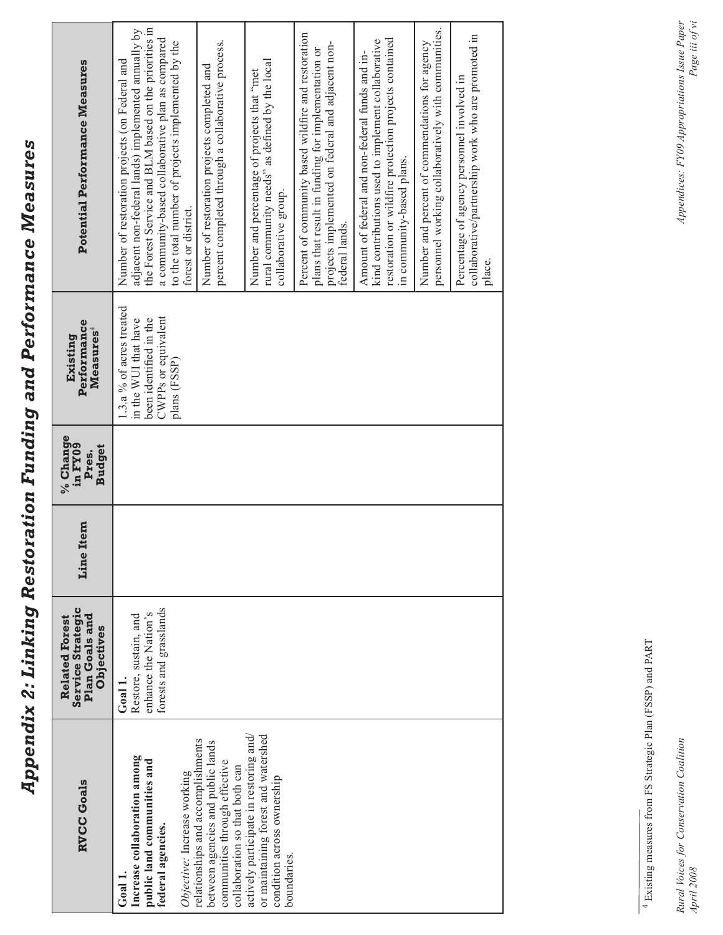Appendix 2: Linking Restoration Funding and Performance Measures *Appendix 2: Linking Restoration Funding and Performance Measures*

| <b>RVCC Goals</b>                                                                                                                         | <b>Service Strategic</b><br>Plan Goals and<br><b>Related Forest</b><br>Objectives | Line Item | % Change<br>in FY09<br><b>Budget</b><br>Pres. | Performance<br>Measures <sup>4</sup><br>Existing                                                                  | Potential Performance Measures                                                                                                                                                                                                                                                                  |
|-------------------------------------------------------------------------------------------------------------------------------------------|-----------------------------------------------------------------------------------|-----------|-----------------------------------------------|-------------------------------------------------------------------------------------------------------------------|-------------------------------------------------------------------------------------------------------------------------------------------------------------------------------------------------------------------------------------------------------------------------------------------------|
| Increase collaboration among<br>public land communities and<br>Objective: Increase working<br>federal agencies.<br>Goal 1                 | forests and grasslands<br>enhance the Nation's<br>Restore, sustain, and<br>Goal 1 |           |                                               | 1.3.a % of acres treated<br>CWPPs or equivalent<br>been identified in the<br>in the WUI that have<br>plans (FSSP) | the Forest Service and BLM based on the priorities in<br>adjacent non-federal lands) implemented annually by<br>a community-based collaborative plan as compared<br>to the total number of projects implemented by the<br>Number of restoration projects (on Federal and<br>forest or district. |
| relationships and accomplishments<br>between agencies and public lands<br>communities through effective<br>collaboration so that both can |                                                                                   |           |                                               |                                                                                                                   | percent completed through a collaborative process.<br>Number of restoration projects completed and                                                                                                                                                                                              |
| or maintaining forest and watershed<br>actively participate in restoring and/<br>condition across ownership<br>boundaries                 |                                                                                   |           |                                               |                                                                                                                   | rural community needs" as defined by the local<br>Number and percentage of projects that "met<br>collaborative group.                                                                                                                                                                           |
|                                                                                                                                           |                                                                                   |           |                                               |                                                                                                                   | Percent of community based wildfire and restoration<br>projects implemented on federal and adjacent non-<br>plans that result in funding for implementation or<br>federal lands.                                                                                                                |
|                                                                                                                                           |                                                                                   |           |                                               |                                                                                                                   | restoration or wildfire protection projects contained<br>kind contributions used to implement collaborative<br>Amount of federal and non-federal funds and in-<br>in community-based plans.                                                                                                     |
|                                                                                                                                           |                                                                                   |           |                                               |                                                                                                                   | personnel working collaboratively with communities.<br>Number and percent of commendations for agency                                                                                                                                                                                           |
|                                                                                                                                           |                                                                                   |           |                                               |                                                                                                                   | collaborative/partnership work who are promoted in<br>Percentage of agency personnel involved in<br>place.                                                                                                                                                                                      |

 $^4$  Existing measures from FS Strategic Plan (FSSP) and PART 4 Existing measures from FS Strategic Plan (FSSP) and PART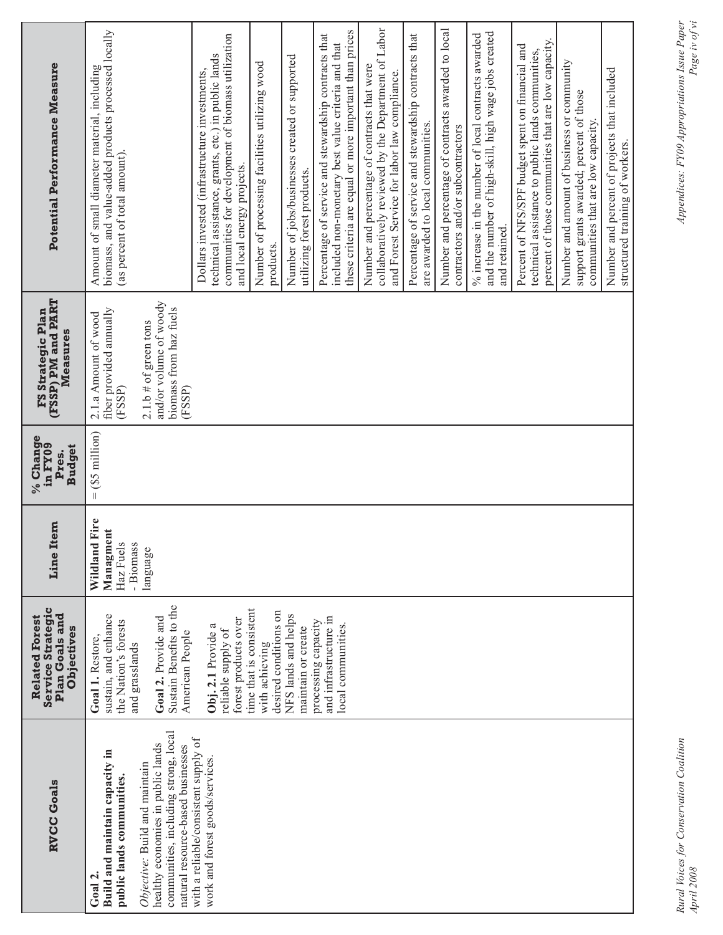| Potential Performance Measure                                                     | Amount of small diameter material, including<br>biomass, and value-added products processed locally<br>(as percent of total amount).                                                                                     | communities for development of biomass utilization<br>technical assistance, grants, etc.) in public lands<br>Dollars invested (infrastructure investments,<br>and local energy projects. | Number of jobs/businesses created or supported<br>Number of processing facilities utilizing wood<br>utilizing forest products.<br>products. | these criteria are equal or more important than prices<br>Percentage of service and stewardship contracts that<br>included non-monetary best value criteria and that | collaboratively reviewed by the Department of Labor<br>Number and percentage of contracts that were<br>and Forest Service for labor law compliance. | Percentage of service and stewardship contracts that<br>are awarded to local communities. | Number and percentage of contracts awarded to local<br>contractors and/or subcontractors | and the number of high-skill, high wage jobs created<br>% increase in the number of local contracts awarded<br>and retained. | percent of those communities that are low capacity.<br>Percent of NFS/SPF budget spent on financial and<br>technical assistance to public lands communities, | Number and amount of business or community<br>support grants awarded; percent of those<br>communities that are low capacity. | Number and percent of projects that included<br>structured training of workers. |
|-----------------------------------------------------------------------------------|--------------------------------------------------------------------------------------------------------------------------------------------------------------------------------------------------------------------------|------------------------------------------------------------------------------------------------------------------------------------------------------------------------------------------|---------------------------------------------------------------------------------------------------------------------------------------------|----------------------------------------------------------------------------------------------------------------------------------------------------------------------|-----------------------------------------------------------------------------------------------------------------------------------------------------|-------------------------------------------------------------------------------------------|------------------------------------------------------------------------------------------|------------------------------------------------------------------------------------------------------------------------------|--------------------------------------------------------------------------------------------------------------------------------------------------------------|------------------------------------------------------------------------------------------------------------------------------|---------------------------------------------------------------------------------|
| (FSSP) PM and PART<br>FS Strategic Plan<br>Measures                               | and/or volume of woody<br>biomass from haz fuels<br>fiber provided annually<br>2.1.a Amount of wood<br>$2.1.b$ # of green tons<br>(FSSP)<br>(FSSP)                                                                       |                                                                                                                                                                                          |                                                                                                                                             |                                                                                                                                                                      |                                                                                                                                                     |                                                                                           |                                                                                          |                                                                                                                              |                                                                                                                                                              |                                                                                                                              |                                                                                 |
| % Change<br>in FY09<br><b>Budget</b><br>Pres.                                     | $(S5$ million $)$<br>$\parallel$                                                                                                                                                                                         |                                                                                                                                                                                          |                                                                                                                                             |                                                                                                                                                                      |                                                                                                                                                     |                                                                                           |                                                                                          |                                                                                                                              |                                                                                                                                                              |                                                                                                                              |                                                                                 |
| Item<br>Line                                                                      | Wildland Fire<br>Managment<br>Haz Fuels<br>- Biomass<br>language                                                                                                                                                         |                                                                                                                                                                                          |                                                                                                                                             |                                                                                                                                                                      |                                                                                                                                                     |                                                                                           |                                                                                          |                                                                                                                              |                                                                                                                                                              |                                                                                                                              |                                                                                 |
| <b>Service Strategic</b><br>Plan Goals and<br><b>Related Forest</b><br>Objectives | Sustain Benefits to the<br>sustain, and enhance<br>Goal 2. Provide and<br>the Nation's forests<br>American People<br>Goal 1. Restore,<br>and grasslands                                                                  | time that is consistent<br>forest products over<br>Obj. 2.1 Provide a<br>reliable supply of                                                                                              | desired conditions on<br>NFS lands and helps<br>maintain or create<br>with achieving                                                        | and infrastructure in<br>processing capacity<br>local communities.                                                                                                   |                                                                                                                                                     |                                                                                           |                                                                                          |                                                                                                                              |                                                                                                                                                              |                                                                                                                              |                                                                                 |
| <b>RVCC Goals</b>                                                                 | communities, including strong, local<br>healthy economies in public lands<br>natural resource-based businesses<br>Build and maintain capacity in<br>Objective: Build and maintain<br>public lands communities.<br>Goal 2 | with a reliable/consistent supply of<br>work and forest goods/services                                                                                                                   |                                                                                                                                             |                                                                                                                                                                      |                                                                                                                                                     |                                                                                           |                                                                                          |                                                                                                                              |                                                                                                                                                              |                                                                                                                              |                                                                                 |

*Page iv of vi*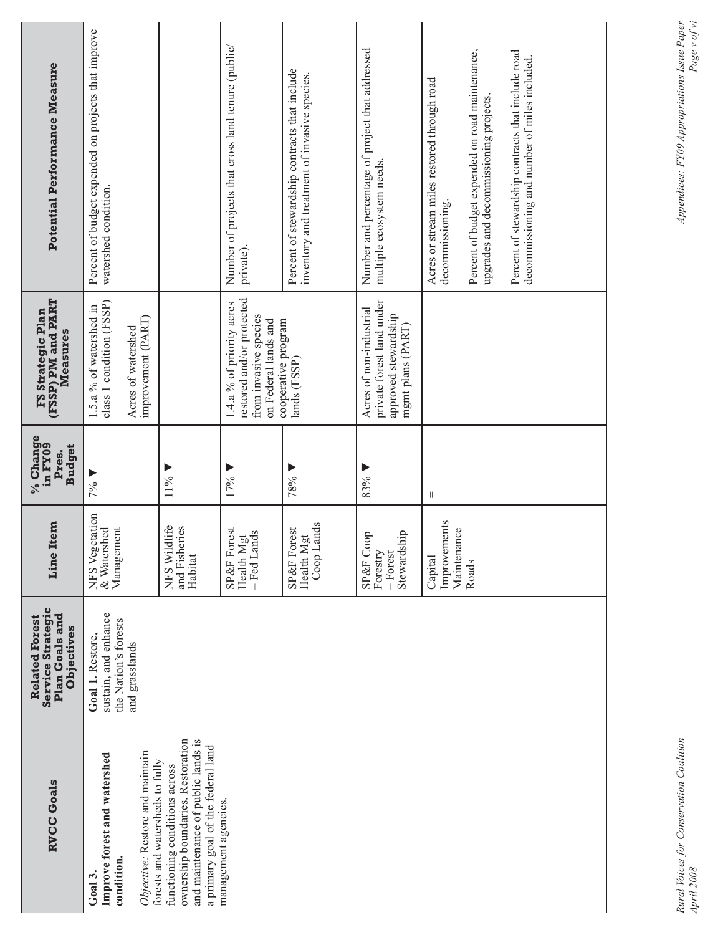| <b>Potential Performance Measure</b>                                              | Percent of budget expended on projects that improve<br>watershed condition.                                                                                                                                                                                                             |                                                                                                                                                | Number of projects that cross land tenure (public/<br>private)                                          | Percent of stewardship contracts that include<br>inventory and treatment of invasive species. | Number and percentage of project that addressed<br>multiple ecosystem needs.                      | Acres or stream miles restored through road<br>decommissioning. | Percent of budget expended on road maintenance,<br>upgrades and decommissioning projects. | Percent of stewardship contracts that include road<br>decommissioning and number of miles included. |  |  |
|-----------------------------------------------------------------------------------|-----------------------------------------------------------------------------------------------------------------------------------------------------------------------------------------------------------------------------------------------------------------------------------------|------------------------------------------------------------------------------------------------------------------------------------------------|---------------------------------------------------------------------------------------------------------|-----------------------------------------------------------------------------------------------|---------------------------------------------------------------------------------------------------|-----------------------------------------------------------------|-------------------------------------------------------------------------------------------|-----------------------------------------------------------------------------------------------------|--|--|
| <b>FS Strategic Plan<br/>(FSSP) PM and PART</b><br>Measures                       | class 1 condition (FSSP)<br>1.5.a % of watershed in<br>improvement (PART)<br>Acres of watershed                                                                                                                                                                                         |                                                                                                                                                | restored and/or protected<br>1.4.a % of priority acres<br>from invasive species<br>on Federal lands and | cooperative program<br>lands (FSSP)                                                           | private forest land under<br>Acres of non-industrial<br>approved stewardship<br>mgmt plans (PART) |                                                                 |                                                                                           |                                                                                                     |  |  |
| % Change<br>in FY09<br><b>Budget</b><br>Pres.                                     | 11%<br>17%<br>78%<br>83%<br>7%<br>$\vert\vert$                                                                                                                                                                                                                                          |                                                                                                                                                |                                                                                                         |                                                                                               |                                                                                                   |                                                                 |                                                                                           |                                                                                                     |  |  |
| Line Item                                                                         | NFS Vegetation<br>Improvements<br>- Coop Lands<br>NFS Wildlife<br>and Fisheries<br>& Watershed<br>Management<br>SP&F Forest<br>SP&F Forest<br>Maintenance<br>Health Mgt<br>- Fed Lands<br>Stewardship<br>SP&F Coop<br>Health Mgt<br>Forestry<br>- Forest<br>Habitat<br>Capital<br>Roads |                                                                                                                                                |                                                                                                         |                                                                                               |                                                                                                   |                                                                 |                                                                                           |                                                                                                     |  |  |
| <b>Service Strategic</b><br>Plan Goals and<br><b>Related Forest</b><br>Objectives | sustain, and enhance<br>the Nation's forests<br>Goal 1. Restore,<br>and grasslands                                                                                                                                                                                                      |                                                                                                                                                |                                                                                                         |                                                                                               |                                                                                                   |                                                                 |                                                                                           |                                                                                                     |  |  |
| <b>RVCC Goals</b>                                                                 | Objective: Restore and maintain<br>Improve forest and watershed<br>forests and watersheds to fully<br>condition.<br>Ga13.                                                                                                                                                               | ownership boundaries. Restoration<br>and maintenance of public lands is<br>a primary goal of the federal land<br>functioning conditions across | management agencies                                                                                     |                                                                                               |                                                                                                   |                                                                 |                                                                                           |                                                                                                     |  |  |